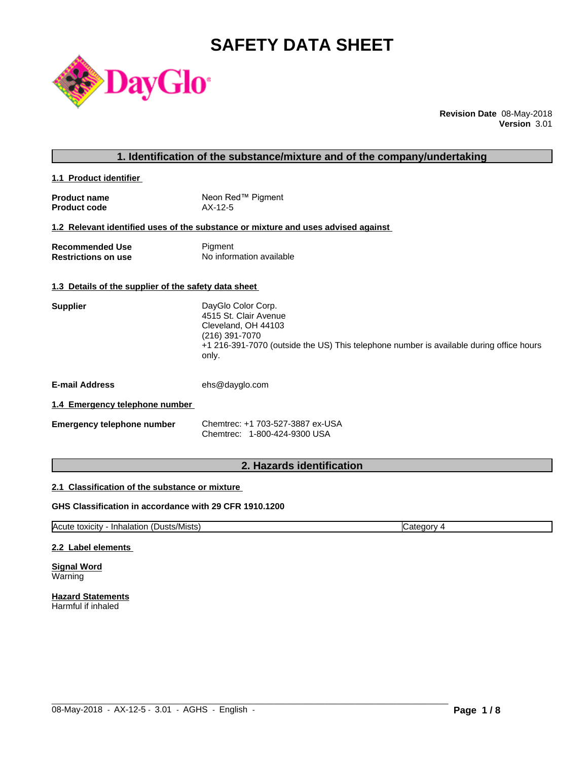# **SAFETY DATA SHEET**



**Revision Date** 08-May-2018 **Version** 3.01

# **1. Identification of the substance/mixture and of the company/undertaking**

**1.1 Product identifier** 

| <b>Product name</b> | Neon Red™ Pigment |
|---------------------|-------------------|
| <b>Product code</b> | $AX-12-5$         |

# **1.2 Relevant identified uses of the substance or mixture and uses advised against**

| <b>Recommended Use</b>     | Pigment                  |
|----------------------------|--------------------------|
| <b>Restrictions on use</b> | No information available |

#### **1.3 Details of the supplier of the safety data sheet**

| 4515 St. Clair Avenue<br>Cleveland, OH 44103<br>(216) 391-7070                                   |  |
|--------------------------------------------------------------------------------------------------|--|
|                                                                                                  |  |
|                                                                                                  |  |
|                                                                                                  |  |
| +1 216-391-7070 (outside the US) This telephone number is available during office hours<br>only. |  |

**E-mail Address** ehs@dayglo.com

#### **1.4 Emergency telephone number**

| Emergency telephone number | Chemtrec: +1 703-527-3887 ex-USA |
|----------------------------|----------------------------------|
|                            | Chemtrec: 1-800-424-9300 USA     |

# **2. Hazards identification**

#### **2.1 Classification of the substance or mixture**

## **GHS Classification in accordance with 29 CFR 1910.1200**

Acute toxicity - Inhalation (Dusts/Mists) Category 4

 $\_$  ,  $\_$  ,  $\_$  ,  $\_$  ,  $\_$  ,  $\_$  ,  $\_$  ,  $\_$  ,  $\_$  ,  $\_$  ,  $\_$  ,  $\_$  ,  $\_$  ,  $\_$  ,  $\_$  ,  $\_$  ,  $\_$  ,  $\_$  ,  $\_$  ,  $\_$  ,  $\_$  ,  $\_$  ,  $\_$  ,  $\_$  ,  $\_$  ,  $\_$  ,  $\_$  ,  $\_$  ,  $\_$  ,  $\_$  ,  $\_$  ,  $\_$  ,  $\_$  ,  $\_$  ,  $\_$  ,  $\_$  ,  $\_$  ,

#### **2.2 Label elements**

**Signal Word** Warning

**Hazard Statements** Harmful if inhaled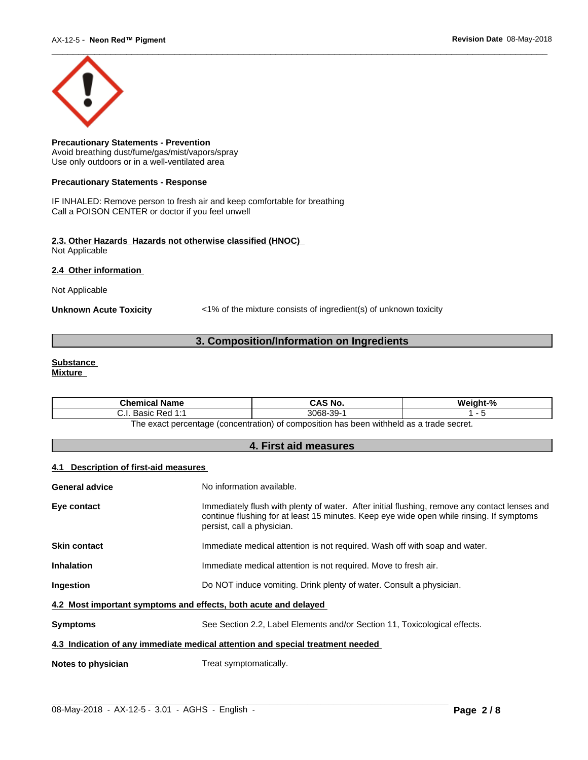

**Precautionary Statements - Prevention** Avoid breathing dust/fume/gas/mist/vapors/spray Use only outdoors or in a well-ventilated area

#### **Precautionary Statements - Response**

IF INHALED: Remove person to fresh air and keep comfortable for breathing Call a POISON CENTER or doctor if you feel unwell

#### **2.3. Other Hazards Hazards not otherwise classified (HNOC)** Not Applicable

**2.4 Other information** 

Not Applicable

**Unknown Acute Toxicity** <1% of the mixture consists of ingredient(s) of unknown toxicity

# **3. Composition/Information on Ingredients**

#### **Substance Mixture**

| <b>Chemical Name</b>                                                                          | CAS No.   | Weight-% |  |
|-----------------------------------------------------------------------------------------------|-----------|----------|--|
| . Basic Red 1:1<br>. ا . ب                                                                    | 3068-39-1 |          |  |
| n has been withheld as a trade secret.<br>The exact percentage (concentration) of composition |           |          |  |

**4. First aid measures**

#### **4.1 Description of first-aid measures**

| <b>General advice</b>                                                          | No information available.                                                                                                                                                                                               |  |
|--------------------------------------------------------------------------------|-------------------------------------------------------------------------------------------------------------------------------------------------------------------------------------------------------------------------|--|
|                                                                                |                                                                                                                                                                                                                         |  |
| Eye contact                                                                    | Immediately flush with plenty of water. After initial flushing, remove any contact lenses and<br>continue flushing for at least 15 minutes. Keep eye wide open while rinsing. If symptoms<br>persist, call a physician. |  |
| <b>Skin contact</b>                                                            | Immediate medical attention is not required. Wash off with soap and water.                                                                                                                                              |  |
| <b>Inhalation</b>                                                              | Immediate medical attention is not required. Move to fresh air.                                                                                                                                                         |  |
| Ingestion                                                                      | Do NOT induce vomiting. Drink plenty of water. Consult a physician.                                                                                                                                                     |  |
| 4.2 Most important symptoms and effects, both acute and delayed                |                                                                                                                                                                                                                         |  |
| <b>Symptoms</b>                                                                | See Section 2.2, Label Elements and/or Section 11, Toxicological effects.                                                                                                                                               |  |
| 4.3 Indication of any immediate medical attention and special treatment needed |                                                                                                                                                                                                                         |  |
| Notes to physician                                                             | Treat symptomatically.                                                                                                                                                                                                  |  |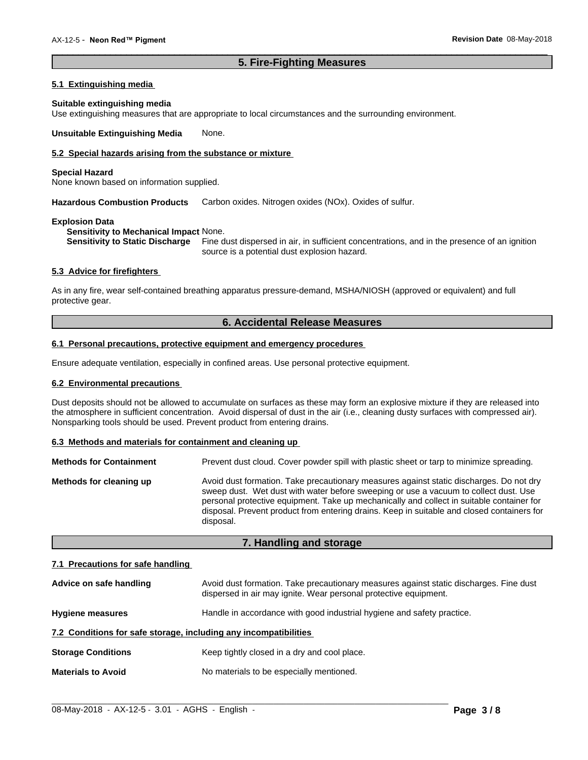# **5. Fire-Fighting Measures**

 $\overline{\phantom{a}}$  ,  $\overline{\phantom{a}}$  ,  $\overline{\phantom{a}}$  ,  $\overline{\phantom{a}}$  ,  $\overline{\phantom{a}}$  ,  $\overline{\phantom{a}}$  ,  $\overline{\phantom{a}}$  ,  $\overline{\phantom{a}}$  ,  $\overline{\phantom{a}}$  ,  $\overline{\phantom{a}}$  ,  $\overline{\phantom{a}}$  ,  $\overline{\phantom{a}}$  ,  $\overline{\phantom{a}}$  ,  $\overline{\phantom{a}}$  ,  $\overline{\phantom{a}}$  ,  $\overline{\phantom{a}}$ 

#### **5.1 Extinguishing media**

#### **Suitable extinguishing media**

Use extinguishing measures that are appropriate to local circumstances and the surrounding environment.

**Unsuitable Extinguishing Media** None.

## **5.2 Special hazards arising from the substance or mixture**

#### **Special Hazard**

None known based on information supplied.

**Hazardous Combustion Products** Carbon oxides. Nitrogen oxides (NOx). Oxides of sulfur.

#### **Explosion Data**

**Sensitivity to Mechanical Impact** None.

**Sensitivity to Static Discharge** Fine dust dispersed in air, in sufficient concentrations, and in the presence of an ignition source is a potential dust explosion hazard.

#### **5.3 Advice for firefighters**

As in any fire, wear self-contained breathing apparatus pressure-demand, MSHA/NIOSH (approved or equivalent) and full protective gear.

# **6. Accidental Release Measures**

#### **6.1 Personal precautions, protective equipment and emergency procedures**

Ensure adequate ventilation, especially in confined areas. Use personal protective equipment.

#### **6.2 Environmental precautions**

Dust deposits should not be allowed to accumulate on surfaces as these may form an explosive mixture if they are released into the atmosphere in sufficient concentration. Avoid dispersal of dust in the air (i.e., cleaning dusty surfaces with compressed air). Nonsparking tools should be used. Prevent product from entering drains.

#### **6.3 Methods and materials for containment and cleaning up**

| <b>Methods for Containment</b> | Prevent dust cloud. Cover powder spill with plastic sheet or tarp to minimize spreading.                                                                                                                                                                                                                                                                                                |
|--------------------------------|-----------------------------------------------------------------------------------------------------------------------------------------------------------------------------------------------------------------------------------------------------------------------------------------------------------------------------------------------------------------------------------------|
| Methods for cleaning up        | Avoid dust formation. Take precautionary measures against static discharges. Do not dry<br>sweep dust. Wet dust with water before sweeping or use a vacuum to collect dust. Use<br>personal protective equipment. Take up mechanically and collect in suitable container for<br>disposal. Prevent product from entering drains. Keep in suitable and closed containers for<br>disposal. |

#### **7. Handling and storage**

#### **7.1 Precautions for safe handling**

| Advice on safe handling                                          | Avoid dust formation. Take precautionary measures against static discharges. Fine dust<br>dispersed in air may ignite. Wear personal protective equipment. |
|------------------------------------------------------------------|------------------------------------------------------------------------------------------------------------------------------------------------------------|
| <b>Hygiene measures</b>                                          | Handle in accordance with good industrial hygiene and safety practice.                                                                                     |
| 7.2 Conditions for safe storage, including any incompatibilities |                                                                                                                                                            |
| <b>Storage Conditions</b>                                        | Keep tightly closed in a dry and cool place.                                                                                                               |
| <b>Materials to Avoid</b>                                        | No materials to be especially mentioned.                                                                                                                   |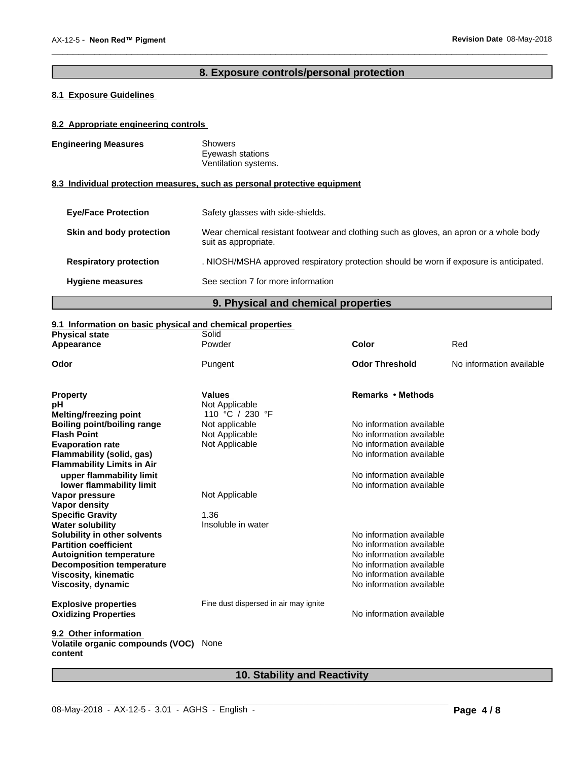# **8. Exposure controls/personal protection**

 $\overline{\phantom{a}}$  ,  $\overline{\phantom{a}}$  ,  $\overline{\phantom{a}}$  ,  $\overline{\phantom{a}}$  ,  $\overline{\phantom{a}}$  ,  $\overline{\phantom{a}}$  ,  $\overline{\phantom{a}}$  ,  $\overline{\phantom{a}}$  ,  $\overline{\phantom{a}}$  ,  $\overline{\phantom{a}}$  ,  $\overline{\phantom{a}}$  ,  $\overline{\phantom{a}}$  ,  $\overline{\phantom{a}}$  ,  $\overline{\phantom{a}}$  ,  $\overline{\phantom{a}}$  ,  $\overline{\phantom{a}}$ 

# **8.1 Exposure Guidelines**

## **8.2 Appropriate engineering controls**

| <b>Engineering Measures</b>   | <b>Showers</b><br>Eyewash stations<br>Ventilation systems.                                                     |
|-------------------------------|----------------------------------------------------------------------------------------------------------------|
|                               | 8.3 Individual protection measures, such as personal protective equipment                                      |
| <b>Eye/Face Protection</b>    | Safety glasses with side-shields.                                                                              |
| Skin and body protection      | Wear chemical resistant footwear and clothing such as gloves, an apron or a whole body<br>suit as appropriate. |
| <b>Respiratory protection</b> | . NIOSH/MSHA approved respiratory protection should be worn if exposure is anticipated.                        |
| <b>Hygiene measures</b>       | See section 7 for more information                                                                             |

# **9. Physical and chemical properties**

# **9.1 Information on basic physical and chemical properties**

| Powder<br>Red<br><b>Color</b><br>Appearance<br><b>Odor Threshold</b><br>Odor<br>No information available<br>Pungent<br><b>Values</b><br>Remarks • Methods<br><b>Property</b><br>Not Applicable<br>110 °C / 230 °F<br>Melting/freezing point<br>Not applicable<br>No information available<br>Boiling point/boiling range<br>No information available<br><b>Flash Point</b><br>Not Applicable<br>No information available<br><b>Evaporation rate</b><br>Not Applicable<br>No information available<br>Flammability (solid, gas)<br><b>Flammability Limits in Air</b><br>upper flammability limit<br>No information available<br>No information available<br>lower flammability limit<br>Not Applicable<br>Vapor pressure |
|-------------------------------------------------------------------------------------------------------------------------------------------------------------------------------------------------------------------------------------------------------------------------------------------------------------------------------------------------------------------------------------------------------------------------------------------------------------------------------------------------------------------------------------------------------------------------------------------------------------------------------------------------------------------------------------------------------------------------|
|                                                                                                                                                                                                                                                                                                                                                                                                                                                                                                                                                                                                                                                                                                                         |
|                                                                                                                                                                                                                                                                                                                                                                                                                                                                                                                                                                                                                                                                                                                         |
|                                                                                                                                                                                                                                                                                                                                                                                                                                                                                                                                                                                                                                                                                                                         |
|                                                                                                                                                                                                                                                                                                                                                                                                                                                                                                                                                                                                                                                                                                                         |
|                                                                                                                                                                                                                                                                                                                                                                                                                                                                                                                                                                                                                                                                                                                         |
|                                                                                                                                                                                                                                                                                                                                                                                                                                                                                                                                                                                                                                                                                                                         |
|                                                                                                                                                                                                                                                                                                                                                                                                                                                                                                                                                                                                                                                                                                                         |
|                                                                                                                                                                                                                                                                                                                                                                                                                                                                                                                                                                                                                                                                                                                         |
|                                                                                                                                                                                                                                                                                                                                                                                                                                                                                                                                                                                                                                                                                                                         |
|                                                                                                                                                                                                                                                                                                                                                                                                                                                                                                                                                                                                                                                                                                                         |
|                                                                                                                                                                                                                                                                                                                                                                                                                                                                                                                                                                                                                                                                                                                         |
|                                                                                                                                                                                                                                                                                                                                                                                                                                                                                                                                                                                                                                                                                                                         |
|                                                                                                                                                                                                                                                                                                                                                                                                                                                                                                                                                                                                                                                                                                                         |
| <b>Vapor density</b>                                                                                                                                                                                                                                                                                                                                                                                                                                                                                                                                                                                                                                                                                                    |
| 1.36<br><b>Specific Gravity</b>                                                                                                                                                                                                                                                                                                                                                                                                                                                                                                                                                                                                                                                                                         |
| <b>Water solubility</b><br>Insoluble in water                                                                                                                                                                                                                                                                                                                                                                                                                                                                                                                                                                                                                                                                           |
| No information available<br>Solubility in other solvents                                                                                                                                                                                                                                                                                                                                                                                                                                                                                                                                                                                                                                                                |
| No information available<br><b>Partition coefficient</b>                                                                                                                                                                                                                                                                                                                                                                                                                                                                                                                                                                                                                                                                |
| No information available<br><b>Autoignition temperature</b>                                                                                                                                                                                                                                                                                                                                                                                                                                                                                                                                                                                                                                                             |
| No information available<br><b>Decomposition temperature</b>                                                                                                                                                                                                                                                                                                                                                                                                                                                                                                                                                                                                                                                            |
| <b>Viscosity, kinematic</b><br>No information available                                                                                                                                                                                                                                                                                                                                                                                                                                                                                                                                                                                                                                                                 |
| No information available<br>Viscosity, dynamic                                                                                                                                                                                                                                                                                                                                                                                                                                                                                                                                                                                                                                                                          |
| Fine dust dispersed in air may ignite<br><b>Explosive properties</b>                                                                                                                                                                                                                                                                                                                                                                                                                                                                                                                                                                                                                                                    |
| No information available<br><b>Oxidizing Properties</b>                                                                                                                                                                                                                                                                                                                                                                                                                                                                                                                                                                                                                                                                 |
| 9.2 Other information<br>Volatile organic compounds (VOC)<br>None                                                                                                                                                                                                                                                                                                                                                                                                                                                                                                                                                                                                                                                       |
| content                                                                                                                                                                                                                                                                                                                                                                                                                                                                                                                                                                                                                                                                                                                 |

# **10. Stability and Reactivity**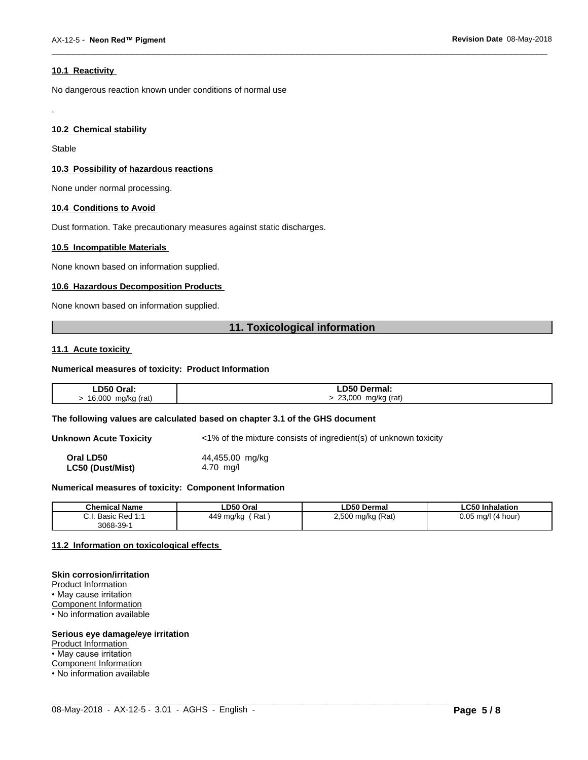#### **10.1 Reactivity**

No dangerous reaction known under conditions of normal use

#### **10.2 Chemical stability**

Stable

.

#### **10.3 Possibility of hazardous reactions**

None under normal processing.

#### **10.4 Conditions to Avoid**

Dust formation. Take precautionary measures against static discharges.

#### **10.5 Incompatible Materials**

None known based on information supplied.

#### **10.6 Hazardous Decomposition Products**

None known based on information supplied.

# **11. Toxicological information**

 $\overline{\phantom{a}}$  ,  $\overline{\phantom{a}}$  ,  $\overline{\phantom{a}}$  ,  $\overline{\phantom{a}}$  ,  $\overline{\phantom{a}}$  ,  $\overline{\phantom{a}}$  ,  $\overline{\phantom{a}}$  ,  $\overline{\phantom{a}}$  ,  $\overline{\phantom{a}}$  ,  $\overline{\phantom{a}}$  ,  $\overline{\phantom{a}}$  ,  $\overline{\phantom{a}}$  ,  $\overline{\phantom{a}}$  ,  $\overline{\phantom{a}}$  ,  $\overline{\phantom{a}}$  ,  $\overline{\phantom{a}}$ 

#### **11.1 Acute toxicity**

#### **Numerical measures of toxicity: Product Information**

| ∟D50 Oral:   | D50 Dermal:     |
|--------------|-----------------|
| 16,000       | 23,000          |
| mg/kg (rat)  | mg/kg (rat)     |
| $\mathbf{r}$ | $\cdot$ $\cdot$ |
| $\sim$       | $\sim$          |

#### **The following values are calculated based on chapter 3.1 of the GHS document**

**Unknown Acute Toxicity** <1% of the mixture consists of ingredient(s) of unknown toxicity

**Oral LD50** 44,455.00 mg/kg **LC50 (Dust/Mist)** 4.70 mg/l

#### **Numerical measures of toxicity: Component Information**

| <b>Chemical Name</b>                                                                | LD50 Oral        | <b>LD50 Dermal</b>     | <b>LC50 Inhalation</b>   |
|-------------------------------------------------------------------------------------|------------------|------------------------|--------------------------|
| $\sim$<br>$Dod$ 4.4<br><b>Dooin</b><br><b>D</b> asic<br>$\mathsf{r}$ Req.i.<br>υ.ι. | Rat<br>449 mg/kg | ) mg/kg (Rat)<br>2,500 | 0.05<br>(4 hour)<br>ma/l |
| $3068 - 39 - 7$                                                                     |                  |                        |                          |

 $\_$  ,  $\_$  ,  $\_$  ,  $\_$  ,  $\_$  ,  $\_$  ,  $\_$  ,  $\_$  ,  $\_$  ,  $\_$  ,  $\_$  ,  $\_$  ,  $\_$  ,  $\_$  ,  $\_$  ,  $\_$  ,  $\_$  ,  $\_$  ,  $\_$  ,  $\_$  ,  $\_$  ,  $\_$  ,  $\_$  ,  $\_$  ,  $\_$  ,  $\_$  ,  $\_$  ,  $\_$  ,  $\_$  ,  $\_$  ,  $\_$  ,  $\_$  ,  $\_$  ,  $\_$  ,  $\_$  ,  $\_$  ,  $\_$  ,

#### **11.2 Information on toxicologicaleffects**

#### **Skin corrosion/irritation**

Product Information • May cause irritation Component Information • No information available

#### **Serious eye damage/eye irritation**

Product Information

• May cause irritation

Component Information

• No information available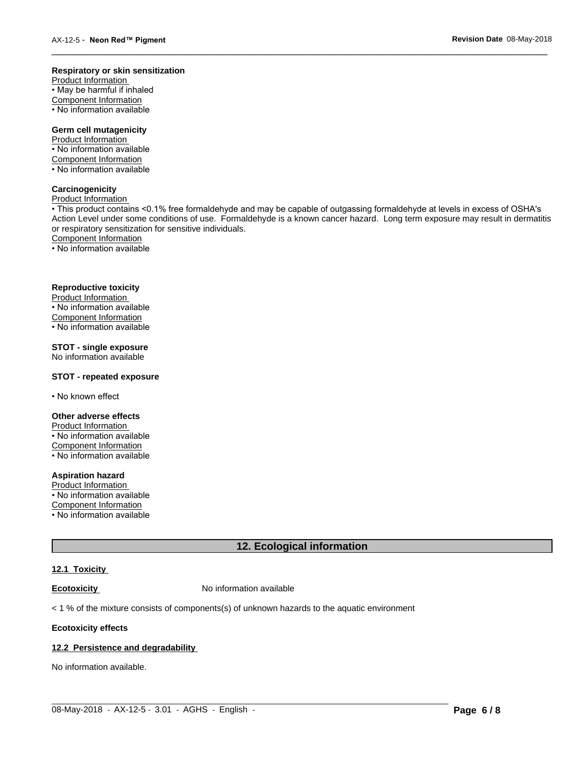#### **Respiratory or skin sensitization**

Product Information  $\overline{\cdot}$  May be harmful if inhaled Component Information • No information available

# **Germ cell mutagenicity**

Product Information • No information available Component Information • No information available

#### **Carcinogenicity**

Product Information

• This product contains <0.1% free formaldehyde and may be capable of outgassing formaldehyde at levels in excess of OSHA's Action Level under some conditions of use. Formaldehyde is a known cancer hazard. Long term exposure may result in dermatitis or respiratory sensitization for sensitive individuals.Component Information

 $\overline{\phantom{a}}$  ,  $\overline{\phantom{a}}$  ,  $\overline{\phantom{a}}$  ,  $\overline{\phantom{a}}$  ,  $\overline{\phantom{a}}$  ,  $\overline{\phantom{a}}$  ,  $\overline{\phantom{a}}$  ,  $\overline{\phantom{a}}$  ,  $\overline{\phantom{a}}$  ,  $\overline{\phantom{a}}$  ,  $\overline{\phantom{a}}$  ,  $\overline{\phantom{a}}$  ,  $\overline{\phantom{a}}$  ,  $\overline{\phantom{a}}$  ,  $\overline{\phantom{a}}$  ,  $\overline{\phantom{a}}$ 

• No information available

#### **Reproductive toxicity**

Product Information • No information available

Component Information

• No information available

# **STOT - single exposure**

No information available

#### **STOT - repeated exposure**

• No known effect

#### **Other adverse effects**

Product Information • No information available Component Information

• No information available

# **Aspiration hazard**

Product Information • No information available

Component Information

• No information available

# **12. Ecological information**

 $\_$  ,  $\_$  ,  $\_$  ,  $\_$  ,  $\_$  ,  $\_$  ,  $\_$  ,  $\_$  ,  $\_$  ,  $\_$  ,  $\_$  ,  $\_$  ,  $\_$  ,  $\_$  ,  $\_$  ,  $\_$  ,  $\_$  ,  $\_$  ,  $\_$  ,  $\_$  ,  $\_$  ,  $\_$  ,  $\_$  ,  $\_$  ,  $\_$  ,  $\_$  ,  $\_$  ,  $\_$  ,  $\_$  ,  $\_$  ,  $\_$  ,  $\_$  ,  $\_$  ,  $\_$  ,  $\_$  ,  $\_$  ,  $\_$  ,

#### **12.1 Toxicity**

**Ecotoxicity No information available** 

 $<$  1 % of the mixture consists of components(s) of unknown hazards to the aquatic environment

#### **Ecotoxicity effects**

#### **12.2 Persistence and degradability**

No information available.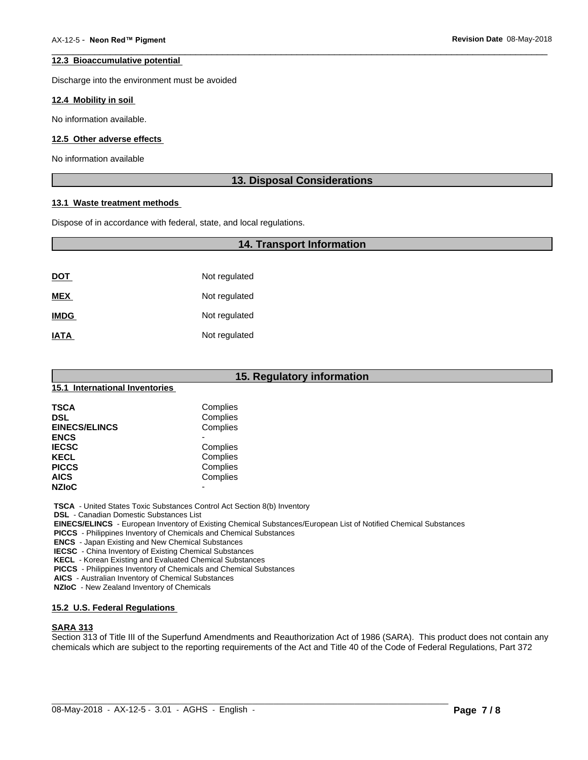#### **12.3 Bioaccumulative potential**

Discharge into the environment must be avoided

#### **12.4 Mobility in soil**

No information available.

#### **12.5 Other adverse effects**

No information available

#### **13. Disposal Considerations**

 $\overline{\phantom{a}}$  ,  $\overline{\phantom{a}}$  ,  $\overline{\phantom{a}}$  ,  $\overline{\phantom{a}}$  ,  $\overline{\phantom{a}}$  ,  $\overline{\phantom{a}}$  ,  $\overline{\phantom{a}}$  ,  $\overline{\phantom{a}}$  ,  $\overline{\phantom{a}}$  ,  $\overline{\phantom{a}}$  ,  $\overline{\phantom{a}}$  ,  $\overline{\phantom{a}}$  ,  $\overline{\phantom{a}}$  ,  $\overline{\phantom{a}}$  ,  $\overline{\phantom{a}}$  ,  $\overline{\phantom{a}}$ 

#### **13.1 Waste treatment methods**

Dispose of in accordance with federal, state, and local regulations.

# **14. Transport Information**

| <b>DOT</b>  | Not regulated |
|-------------|---------------|
| <b>MEX</b>  | Not regulated |
| <b>IMDG</b> | Not regulated |
| <b>IATA</b> | Not regulated |

|                                | 15. Regulatory information |
|--------------------------------|----------------------------|
| 15.1 International Inventories |                            |
| <b>TSCA</b>                    | Complies                   |
| <b>DSL</b>                     | Complies                   |
| <b>EINECS/ELINCS</b>           | Complies                   |
| <b>ENCS</b>                    | ٠                          |
| <b>IECSC</b>                   | Complies                   |
| <b>KECL</b>                    | Complies                   |
| <b>PICCS</b>                   | Complies                   |
| <b>AICS</b>                    | Complies                   |
| <b>NZIoC</b>                   | $\overline{\phantom{0}}$   |

 **TSCA** - United States Toxic Substances Control Act Section 8(b) Inventory

 **DSL** - Canadian Domestic Substances List

 **EINECS/ELINCS** - European Inventory of Existing Chemical Substances/European List of Notified Chemical Substances

 **PICCS** - Philippines Inventory of Chemicals and Chemical Substances

 **ENCS** - Japan Existing and New Chemical Substances

 **IECSC** - China Inventory of Existing Chemical Substances

 **KECL** - Korean Existing and Evaluated Chemical Substances

 **PICCS** - Philippines Inventory of Chemicals and Chemical Substances

 **AICS** - Australian Inventory of Chemical Substances

 **NZIoC** - New Zealand Inventory of Chemicals

# **15.2 U.S. Federal Regulations**

# **SARA 313**

Section 313 of Title III of the Superfund Amendments and Reauthorization Act of 1986 (SARA). This product does not contain any chemicals which are subject to the reporting requirements of the Act and Title 40 of the Code of Federal Regulations, Part 372